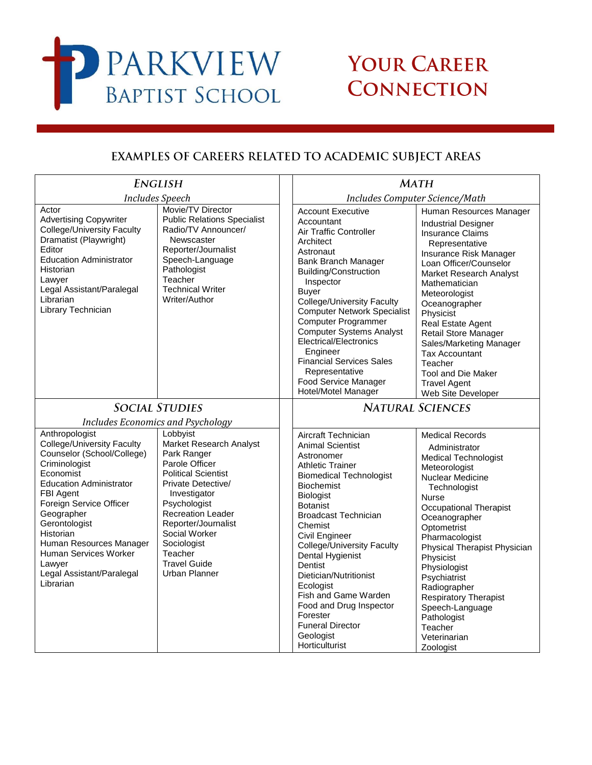

## YOUR CAREER **CONNECTION**

## EXAMPLES OF CAREERS RELATED TO ACADEMIC SUBJECT AREAS

| <b>ENGLISH</b>                                                                                                                                                                                                                                                                                                                                |                                                                                                                                                                                                                                                                                                                                     | <b>MATH</b>                                                                                                                                                                                                                                                                                                                                                                                                                                                                           |                                                                                                                                                                                                                                                                                                                                                                                                                                                |  |
|-----------------------------------------------------------------------------------------------------------------------------------------------------------------------------------------------------------------------------------------------------------------------------------------------------------------------------------------------|-------------------------------------------------------------------------------------------------------------------------------------------------------------------------------------------------------------------------------------------------------------------------------------------------------------------------------------|---------------------------------------------------------------------------------------------------------------------------------------------------------------------------------------------------------------------------------------------------------------------------------------------------------------------------------------------------------------------------------------------------------------------------------------------------------------------------------------|------------------------------------------------------------------------------------------------------------------------------------------------------------------------------------------------------------------------------------------------------------------------------------------------------------------------------------------------------------------------------------------------------------------------------------------------|--|
| <b>Includes Speech</b>                                                                                                                                                                                                                                                                                                                        |                                                                                                                                                                                                                                                                                                                                     | Includes Computer Science/Math                                                                                                                                                                                                                                                                                                                                                                                                                                                        |                                                                                                                                                                                                                                                                                                                                                                                                                                                |  |
| Actor<br><b>Advertising Copywriter</b><br><b>College/University Faculty</b><br>Dramatist (Playwright)<br>Editor<br><b>Education Administrator</b><br>Historian<br>Lawyer<br>Legal Assistant/Paralegal<br>Librarian<br>Library Technician                                                                                                      | Movie/TV Director<br><b>Public Relations Specialist</b><br>Radio/TV Announcer/<br>Newscaster<br>Reporter/Journalist<br>Speech-Language<br>Pathologist<br>Teacher<br><b>Technical Writer</b><br>Writer/Author                                                                                                                        | <b>Account Executive</b><br>Accountant<br>Air Traffic Controller<br>Architect<br>Astronaut<br>Bank Branch Manager<br><b>Building/Construction</b><br>Inspector<br>Buyer<br><b>College/University Faculty</b><br><b>Computer Network Specialist</b><br>Computer Programmer<br><b>Computer Systems Analyst</b><br>Electrical/Electronics<br>Engineer<br><b>Financial Services Sales</b><br>Representative<br>Food Service Manager<br>Hotel/Motel Manager                                | Human Resources Manager<br><b>Industrial Designer</b><br><b>Insurance Claims</b><br>Representative<br>Insurance Risk Manager<br>Loan Officer/Counselor<br>Market Research Analyst<br>Mathematician<br>Meteorologist<br>Oceanographer<br>Physicist<br>Real Estate Agent<br><b>Retail Store Manager</b><br>Sales/Marketing Manager<br><b>Tax Accountant</b><br>Teacher<br><b>Tool and Die Maker</b><br><b>Travel Agent</b><br>Web Site Developer |  |
| <b>SOCIAL STUDIES</b>                                                                                                                                                                                                                                                                                                                         |                                                                                                                                                                                                                                                                                                                                     | <b>NATURAL SCIENCES</b>                                                                                                                                                                                                                                                                                                                                                                                                                                                               |                                                                                                                                                                                                                                                                                                                                                                                                                                                |  |
| Anthropologist<br>College/University Faculty<br>Counselor (School/College)<br>Criminologist<br>Economist<br><b>Education Administrator</b><br>FBI Agent<br>Foreign Service Officer<br>Geographer<br>Gerontologist<br>Historian<br>Human Resources Manager<br><b>Human Services Worker</b><br>Lawyer<br>Legal Assistant/Paralegal<br>Librarian | Includes Economics and Psychology<br>Lobbyist<br>Market Research Analyst<br>Park Ranger<br>Parole Officer<br><b>Political Scientist</b><br>Private Detective/<br>Investigator<br>Psychologist<br><b>Recreation Leader</b><br>Reporter/Journalist<br>Social Worker<br>Sociologist<br>Teacher<br><b>Travel Guide</b><br>Urban Planner | Aircraft Technician<br><b>Animal Scientist</b><br>Astronomer<br><b>Athletic Trainer</b><br><b>Biomedical Technologist</b><br><b>Biochemist</b><br><b>Biologist</b><br><b>Botanist</b><br><b>Broadcast Technician</b><br>Chemist<br>Civil Engineer<br><b>College/University Faculty</b><br>Dental Hygienist<br>Dentist<br>Dietician/Nutritionist<br>Ecologist<br>Fish and Game Warden<br>Food and Drug Inspector<br>Forester<br><b>Funeral Director</b><br>Geologist<br>Horticulturist | <b>Medical Records</b><br>Administrator<br><b>Medical Technologist</b><br>Meteorologist<br><b>Nuclear Medicine</b><br>Technologist<br>Nurse<br><b>Occupational Therapist</b><br>Oceanographer<br>Optometrist<br>Pharmacologist<br>Physical Therapist Physician<br>Physicist<br>Physiologist<br>Psychiatrist<br>Radiographer<br><b>Respiratory Therapist</b><br>Speech-Language<br>Pathologist<br>Teacher<br>Veterinarian<br>Zoologist          |  |